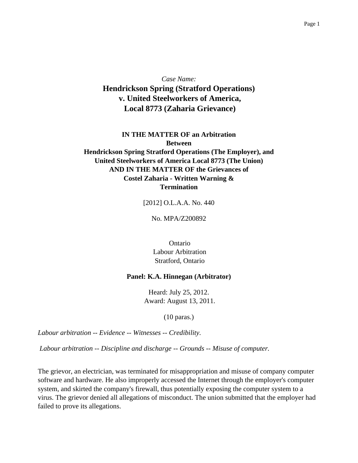*Case Name:* **Hendrickson Spring (Stratford Operations) v. United Steelworkers of America, Local 8773 (Zaharia Grievance)**

## **IN THE MATTER OF an Arbitration Between Hendrickson Spring Stratford Operations (The Employer), and United Steelworkers of America Local 8773 (The Union) AND IN THE MATTER OF the Grievances of Costel Zaharia - Written Warning & Termination**

[2012] O.L.A.A. No. 440

No. MPA/Z200892

Ontario Labour Arbitration Stratford, Ontario

## **Panel: K.A. Hinnegan (Arbitrator)**

Heard: July 25, 2012. Award: August 13, 2011.

(10 paras.)

*Labour arbitration -- Evidence -- Witnesses -- Credibility.*

*Labour arbitration -- Discipline and discharge -- Grounds -- Misuse of computer.*

The grievor, an electrician, was terminated for misappropriation and misuse of company computer software and hardware. He also improperly accessed the Internet through the employer's computer system, and skirted the company's firewall, thus potentially exposing the computer system to a virus. The grievor denied all allegations of misconduct. The union submitted that the employer had failed to prove its allegations.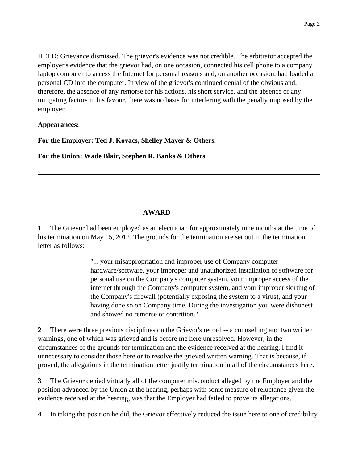HELD: Grievance dismissed. The grievor's evidence was not credible. The arbitrator accepted the employer's evidence that the grievor had, on one occasion, connected his cell phone to a company laptop computer to access the Internet for personal reasons and, on another occasion, had loaded a personal CD into the computer. In view of the grievor's continued denial of the obvious and, therefore, the absence of any remorse for his actions, his short service, and the absence of any mitigating factors in his favour, there was no basis for interfering with the penalty imposed by the employer.

## **Appearances:**

**For the Employer: Ted J. Kovacs, Shelley Mayer & Others**.

**For the Union: Wade Blair, Stephen R. Banks & Others**.

## **AWARD**

**1** The Grievor had been employed as an electrician for approximately nine months at the time of his termination on May 15, 2012. The grounds for the termination are set out in the termination letter as follows:

> "... your misappropriation and improper use of Company computer hardware/software, your improper and unauthorized installation of software for personal use on the Company's computer system, your improper access of the internet through the Company's computer system, and your improper skirting of the Company's firewall (potentially exposing the system to a virus), and your having done so on Company time. During the investigation you were dishonest and showed no remorse or contrition."

**2** There were three previous disciplines on the Grievor's record -- a counselling and two written warnings, one of which was grieved and is before me here unresolved. However, in the circumstances of the grounds for termination and the evidence received at the hearing, I find it unnecessary to consider those here or to resolve the grieved written warning. That is because, if proved, the allegations in the termination letter justify termination in all of the circumstances here.

**3** The Grievor denied virtually all of the computer misconduct alleged by the Employer and the position advanced by the Union at the hearing, perhaps with sonic measure of reluctance given the evidence received at the hearing, was that the Employer had failed to prove its allegations.

**4** In taking the position he did, the Grievor effectively reduced the issue here to one of credibility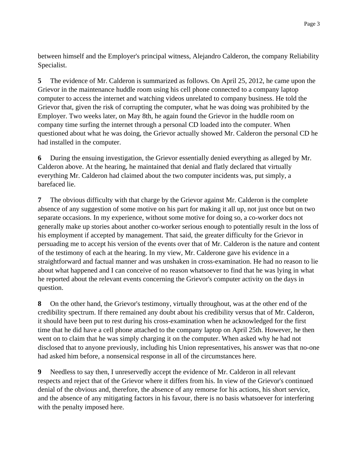between himself and the Employer's principal witness, Alejandro Calderon, the company Reliability Specialist.

**5** The evidence of Mr. Calderon is summarized as follows. On April 25, 2012, he came upon the Grievor in the maintenance huddle room using his cell phone connected to a company laptop computer to access the internet and watching videos unrelated to company business. He told the Grievor that, given the risk of corrupting the computer, what he was doing was prohibited by the Employer. Two weeks later, on May 8th, he again found the Grievor in the huddle room on company time surfing the internet through a personal CD loaded into the computer. When questioned about what he was doing, the Grievor actually showed Mr. Calderon the personal CD he had installed in the computer.

**6** During the ensuing investigation, the Grievor essentially denied everything as alleged by Mr. Calderon above. At the hearing, he maintained that denial and flatly declared that virtually everything Mr. Calderon had claimed about the two computer incidents was, put simply, a barefaced lie.

**7** The obvious difficulty with that charge by the Grievor against Mr. Calderon is the complete absence of any suggestion of some motive on his part for making it all up, not just once but on two separate occasions. In my experience, without some motive for doing so, a co-worker docs not generally make up stories about another co-worker serious enough to potentially result in the loss of his employment if accepted by management. That said, the greater difficulty for the Grievor in persuading me to accept his version of the events over that of Mr. Calderon is the nature and content of the testimony of each at the hearing. In my view, Mr. Calderone gave his evidence in a straightforward and factual manner and was unshaken in cross-examination. He had no reason to lie about what happened and I can conceive of no reason whatsoever to find that he was lying in what he reported about the relevant events concerning the Grievor's computer activity on the days in question.

**8** On the other hand, the Grievor's testimony, virtually throughout, was at the other end of the credibility spectrum. If there remained any doubt about his credibility versus that of Mr. Calderon, it should have been put to rest during his cross-examination when he acknowledged for the first time that he did have a cell phone attached to the company laptop on April 25th. However, he then went on to claim that he was simply charging it on the computer. When asked why he had not disclosed that to anyone previously, including his Union representatives, his answer was that no-one had asked him before, a nonsensical response in all of the circumstances here.

**9** Needless to say then, I unreservedly accept the evidence of Mr. Calderon in all relevant respects and reject that of the Grievor where it differs from his. In view of the Grievor's continued denial of the obvious and, therefore, the absence of any remorse for his actions, his short service, and the absence of any mitigating factors in his favour, there is no basis whatsoever for interfering with the penalty imposed here.